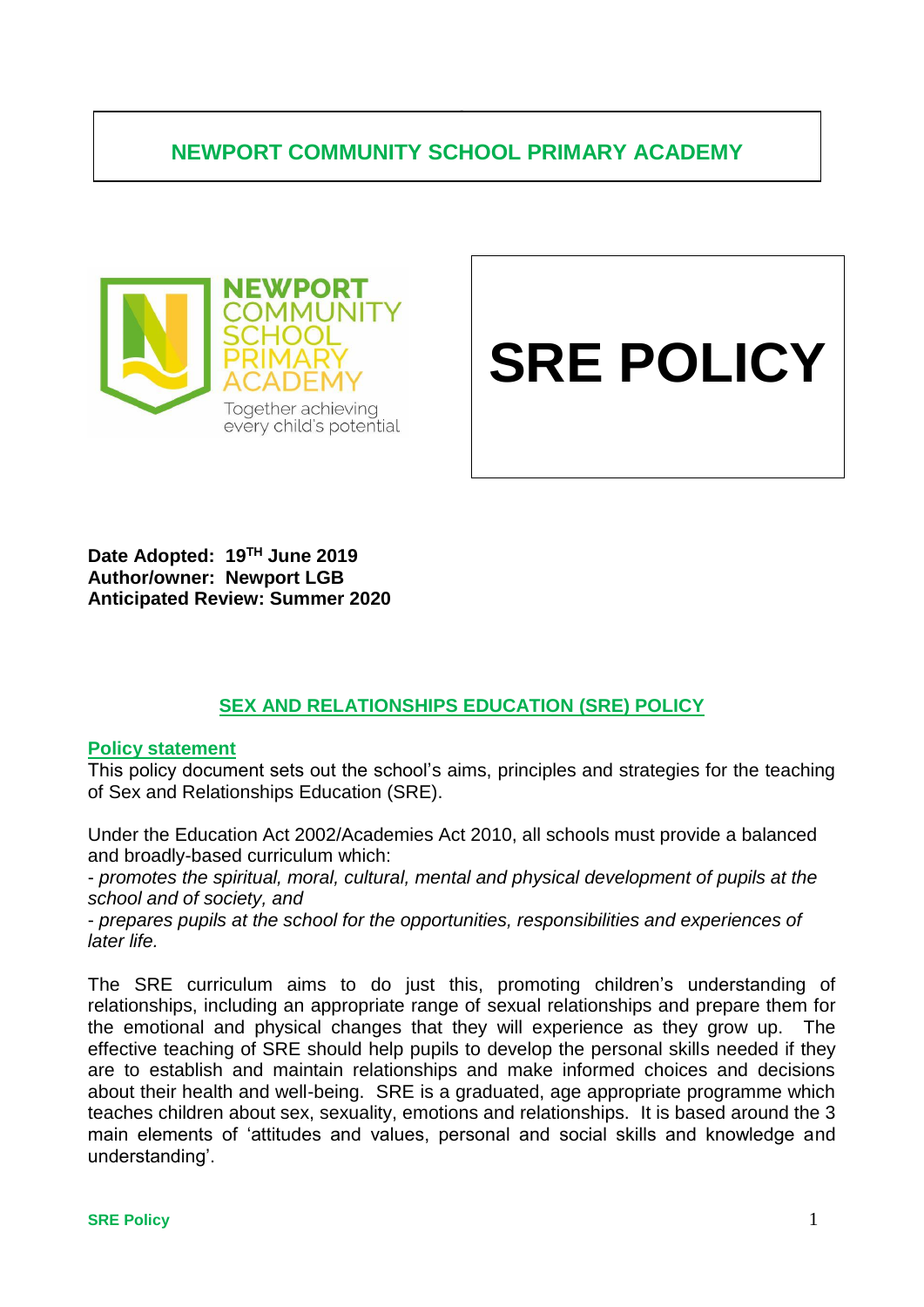# **NEWPORT COMMUNITY SCHOOL PRIMARY ACADEMY**

**.**



# **SRE POLICY**

**Date Adopted: 19TH June 2019 Author/owner: Newport LGB Anticipated Review: Summer 2020**

# **SEX AND RELATIONSHIPS EDUCATION (SRE) POLICY**

#### **Policy statement**

This policy document sets out the school's aims, principles and strategies for the teaching of Sex and Relationships Education (SRE).

Under the Education Act 2002/Academies Act 2010, all schools must provide a balanced and broadly-based curriculum which:

- *promotes the spiritual, moral, cultural, mental and physical development of pupils at the school and of society, and* 

- *prepares pupils at the school for the opportunities, responsibilities and experiences of later life.* 

The SRE curriculum aims to do just this, promoting children's understanding of relationships, including an appropriate range of sexual relationships and prepare them for the emotional and physical changes that they will experience as they grow up. The effective teaching of SRE should help pupils to develop the personal skills needed if they are to establish and maintain relationships and make informed choices and decisions about their health and well-being. SRE is a graduated, age appropriate programme which teaches children about sex, sexuality, emotions and relationships. It is based around the 3 main elements of 'attitudes and values, personal and social skills and knowledge and understanding'.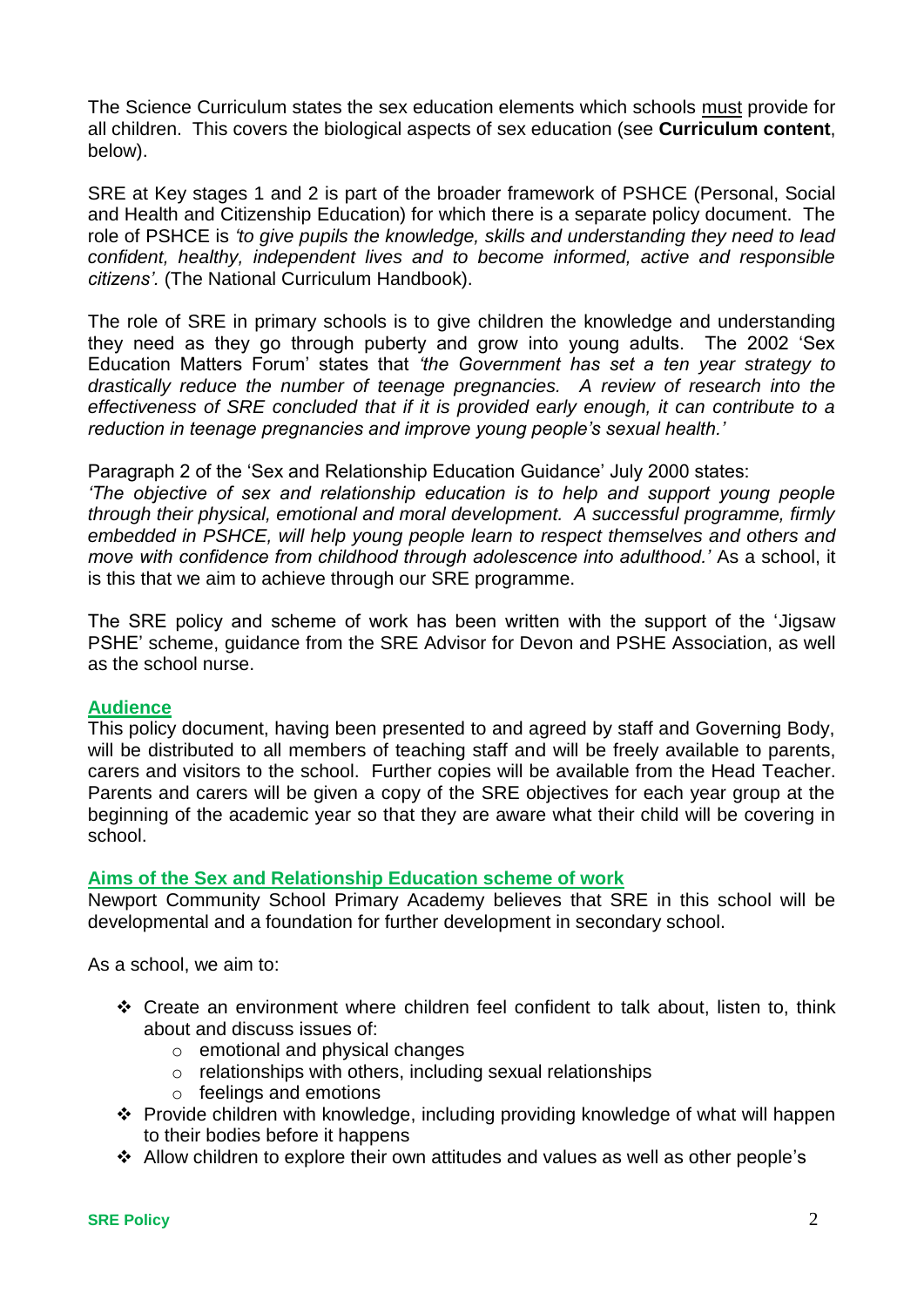The Science Curriculum states the sex education elements which schools must provide for all children. This covers the biological aspects of sex education (see **Curriculum content**, below).

SRE at Key stages 1 and 2 is part of the broader framework of PSHCE (Personal, Social and Health and Citizenship Education) for which there is a separate policy document. The role of PSHCE is *'to give pupils the knowledge, skills and understanding they need to lead confident, healthy, independent lives and to become informed, active and responsible citizens'.* (The National Curriculum Handbook).

The role of SRE in primary schools is to give children the knowledge and understanding they need as they go through puberty and grow into young adults. The 2002 'Sex Education Matters Forum' states that *'the Government has set a ten year strategy to drastically reduce the number of teenage pregnancies. A review of research into the effectiveness of SRE concluded that if it is provided early enough, it can contribute to a reduction in teenage pregnancies and improve young people's sexual health.'*

Paragraph 2 of the 'Sex and Relationship Education Guidance' July 2000 states:

*'The objective of sex and relationship education is to help and support young people through their physical, emotional and moral development. A successful programme, firmly embedded in PSHCE, will help young people learn to respect themselves and others and move with confidence from childhood through adolescence into adulthood.'* As a school, it is this that we aim to achieve through our SRE programme.

The SRE policy and scheme of work has been written with the support of the 'Jigsaw PSHE' scheme, guidance from the SRE Advisor for Devon and PSHE Association, as well as the school nurse.

# **Audience**

This policy document, having been presented to and agreed by staff and Governing Body, will be distributed to all members of teaching staff and will be freely available to parents, carers and visitors to the school. Further copies will be available from the Head Teacher. Parents and carers will be given a copy of the SRE objectives for each year group at the beginning of the academic year so that they are aware what their child will be covering in school.

# **Aims of the Sex and Relationship Education scheme of work**

Newport Community School Primary Academy believes that SRE in this school will be developmental and a foundation for further development in secondary school.

As a school, we aim to:

- Create an environment where children feel confident to talk about, listen to, think about and discuss issues of:
	- o emotional and physical changes
	- o relationships with others, including sexual relationships
	- o feelings and emotions
- Provide children with knowledge, including providing knowledge of what will happen to their bodies before it happens
- Allow children to explore their own attitudes and values as well as other people's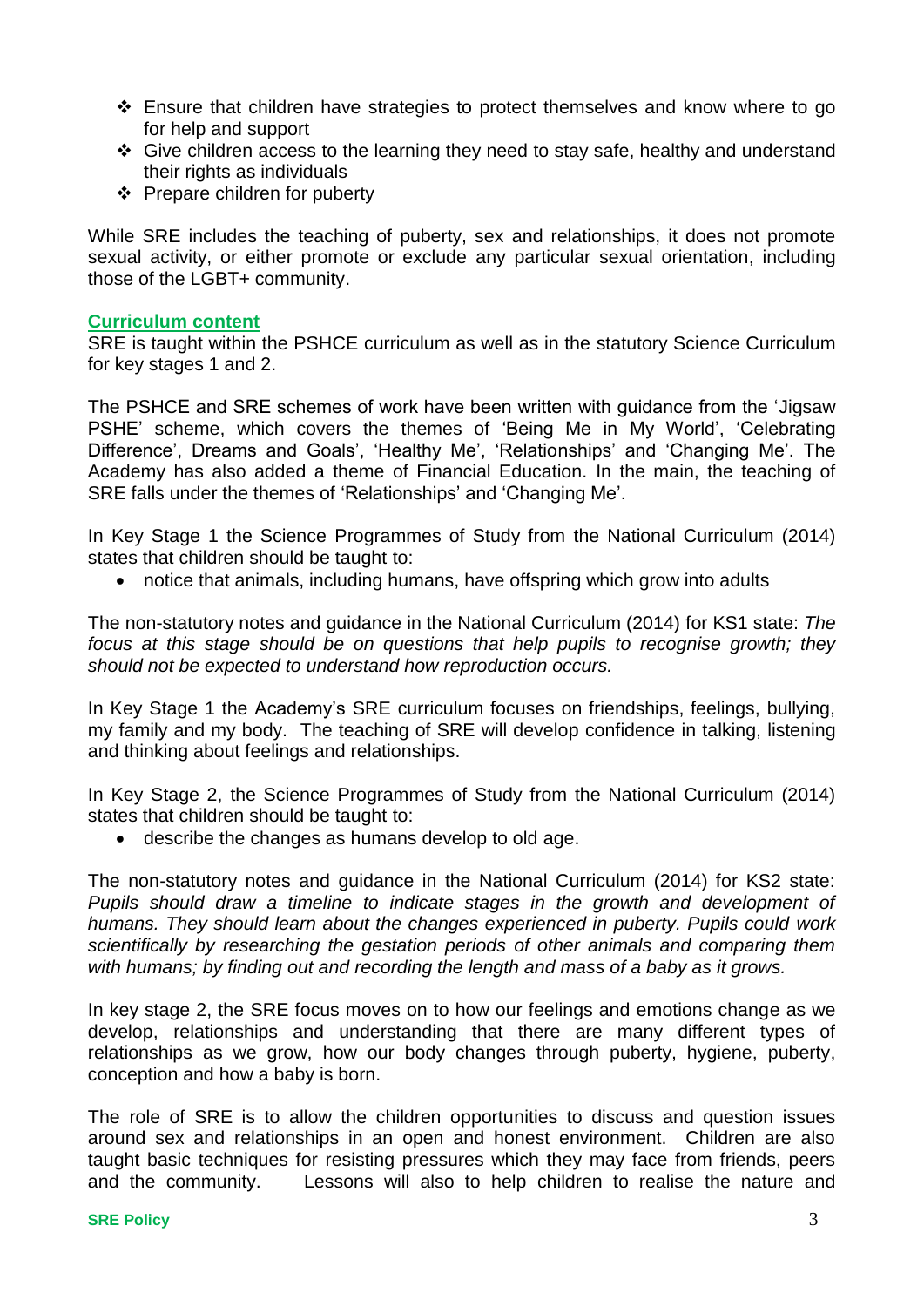- Ensure that children have strategies to protect themselves and know where to go for help and support
- Give children access to the learning they need to stay safe, healthy and understand their rights as individuals
- $\div$  Prepare children for puberty

While SRE includes the teaching of puberty, sex and relationships, it does not promote sexual activity, or either promote or exclude any particular sexual orientation, including those of the LGBT+ community.

#### **Curriculum content**

SRE is taught within the PSHCE curriculum as well as in the statutory Science Curriculum for key stages 1 and 2.

The PSHCE and SRE schemes of work have been written with guidance from the 'Jigsaw PSHE' scheme, which covers the themes of 'Being Me in My World', 'Celebrating Difference', Dreams and Goals', 'Healthy Me', 'Relationships' and 'Changing Me'. The Academy has also added a theme of Financial Education. In the main, the teaching of SRE falls under the themes of 'Relationships' and 'Changing Me'.

In Key Stage 1 the Science Programmes of Study from the National Curriculum (2014) states that children should be taught to:

notice that animals, including humans, have offspring which grow into adults

The non-statutory notes and guidance in the National Curriculum (2014) for KS1 state: *The*  focus at this stage should be on questions that help pupils to recognise growth; they *should not be expected to understand how reproduction occurs.*

In Key Stage 1 the Academy's SRE curriculum focuses on friendships, feelings, bullying, my family and my body. The teaching of SRE will develop confidence in talking, listening and thinking about feelings and relationships.

In Key Stage 2, the Science Programmes of Study from the National Curriculum (2014) states that children should be taught to:

describe the changes as humans develop to old age.

The non-statutory notes and guidance in the National Curriculum (2014) for KS2 state: *Pupils should draw a timeline to indicate stages in the growth and development of humans. They should learn about the changes experienced in puberty. Pupils could work scientifically by researching the gestation periods of other animals and comparing them with humans; by finding out and recording the length and mass of a baby as it grows.*

In key stage 2, the SRE focus moves on to how our feelings and emotions change as we develop, relationships and understanding that there are many different types of relationships as we grow, how our body changes through puberty, hygiene, puberty, conception and how a baby is born.

The role of SRE is to allow the children opportunities to discuss and question issues around sex and relationships in an open and honest environment. Children are also taught basic techniques for resisting pressures which they may face from friends, peers and the community. Lessons will also to help children to realise the nature and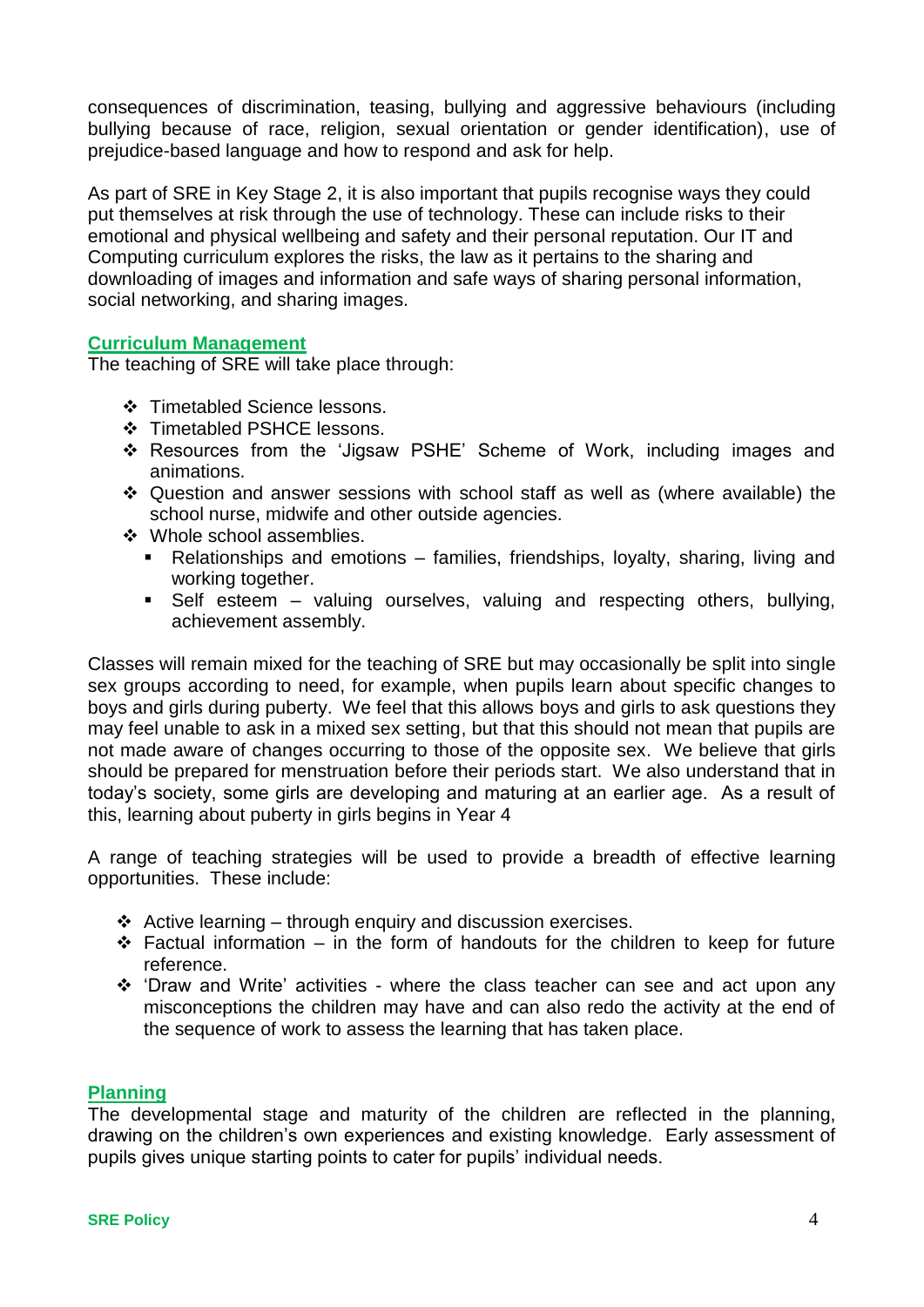consequences of discrimination, teasing, bullying and aggressive behaviours (including bullying because of race, religion, sexual orientation or gender identification), use of prejudice-based language and how to respond and ask for help.

As part of SRE in Key Stage 2, it is also important that pupils recognise ways they could put themselves at risk through the use of technology. These can include risks to their emotional and physical wellbeing and safety and their personal reputation. Our IT and Computing curriculum explores the risks, the law as it pertains to the sharing and downloading of images and information and safe ways of sharing personal information, social networking, and sharing images.

## **Curriculum Management**

The teaching of SRE will take place through:

- Timetabled Science lessons.
- Timetabled PSHCE lessons.
- Resources from the 'Jigsaw PSHE' Scheme of Work, including images and animations.
- Question and answer sessions with school staff as well as (where available) the school nurse, midwife and other outside agencies.
- ❖ Whole school assemblies.
	- Relationships and emotions families, friendships, loyalty, sharing, living and working together.
	- Self esteem valuing ourselves, valuing and respecting others, bullying, achievement assembly.

Classes will remain mixed for the teaching of SRE but may occasionally be split into single sex groups according to need, for example, when pupils learn about specific changes to boys and girls during puberty. We feel that this allows boys and girls to ask questions they may feel unable to ask in a mixed sex setting, but that this should not mean that pupils are not made aware of changes occurring to those of the opposite sex. We believe that girls should be prepared for menstruation before their periods start. We also understand that in today's society, some girls are developing and maturing at an earlier age. As a result of this, learning about puberty in girls begins in Year 4

A range of teaching strategies will be used to provide a breadth of effective learning opportunities. These include:

- $\div$  Active learning through enquiry and discussion exercises.
- $\div$  Factual information in the form of handouts for the children to keep for future reference.
- \* 'Draw and Write' activities where the class teacher can see and act upon any misconceptions the children may have and can also redo the activity at the end of the sequence of work to assess the learning that has taken place.

#### **Planning**

The developmental stage and maturity of the children are reflected in the planning, drawing on the children's own experiences and existing knowledge. Early assessment of pupils gives unique starting points to cater for pupils' individual needs.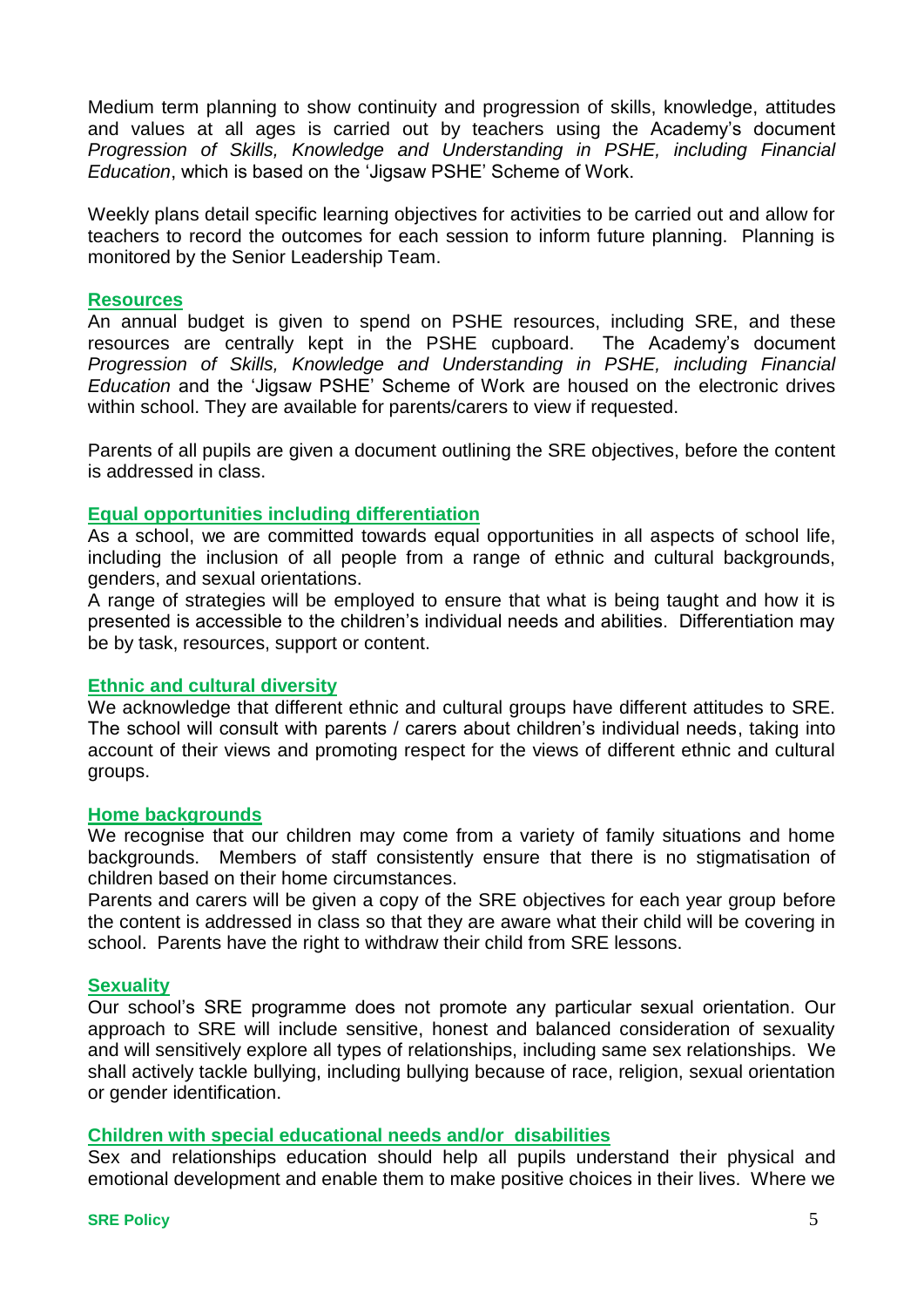Medium term planning to show continuity and progression of skills, knowledge, attitudes and values at all ages is carried out by teachers using the Academy's document *Progression of Skills, Knowledge and Understanding in PSHE, including Financial Education*, which is based on the 'Jigsaw PSHE' Scheme of Work.

Weekly plans detail specific learning objectives for activities to be carried out and allow for teachers to record the outcomes for each session to inform future planning. Planning is monitored by the Senior Leadership Team.

#### **Resources**

An annual budget is given to spend on PSHE resources, including SRE, and these resources are centrally kept in the PSHE cupboard. The Academy's document *Progression of Skills, Knowledge and Understanding in PSHE, including Financial Education* and the 'Jigsaw PSHE' Scheme of Work are housed on the electronic drives within school. They are available for parents/carers to view if requested.

Parents of all pupils are given a document outlining the SRE objectives, before the content is addressed in class.

## **Equal opportunities including differentiation**

As a school, we are committed towards equal opportunities in all aspects of school life, including the inclusion of all people from a range of ethnic and cultural backgrounds, genders, and sexual orientations.

A range of strategies will be employed to ensure that what is being taught and how it is presented is accessible to the children's individual needs and abilities. Differentiation may be by task, resources, support or content.

#### **Ethnic and cultural diversity**

We acknowledge that different ethnic and cultural groups have different attitudes to SRE. The school will consult with parents / carers about children's individual needs, taking into account of their views and promoting respect for the views of different ethnic and cultural groups.

#### **Home backgrounds**

We recognise that our children may come from a variety of family situations and home backgrounds. Members of staff consistently ensure that there is no stigmatisation of children based on their home circumstances.

Parents and carers will be given a copy of the SRE objectives for each year group before the content is addressed in class so that they are aware what their child will be covering in school. Parents have the right to withdraw their child from SRE lessons.

#### **Sexuality**

Our school's SRE programme does not promote any particular sexual orientation. Our approach to SRE will include sensitive, honest and balanced consideration of sexuality and will sensitively explore all types of relationships, including same sex relationships. We shall actively tackle bullying, including bullying because of race, religion, sexual orientation or gender identification.

# **Children with special educational needs and/or disabilities**

Sex and relationships education should help all pupils understand their physical and emotional development and enable them to make positive choices in their lives. Where we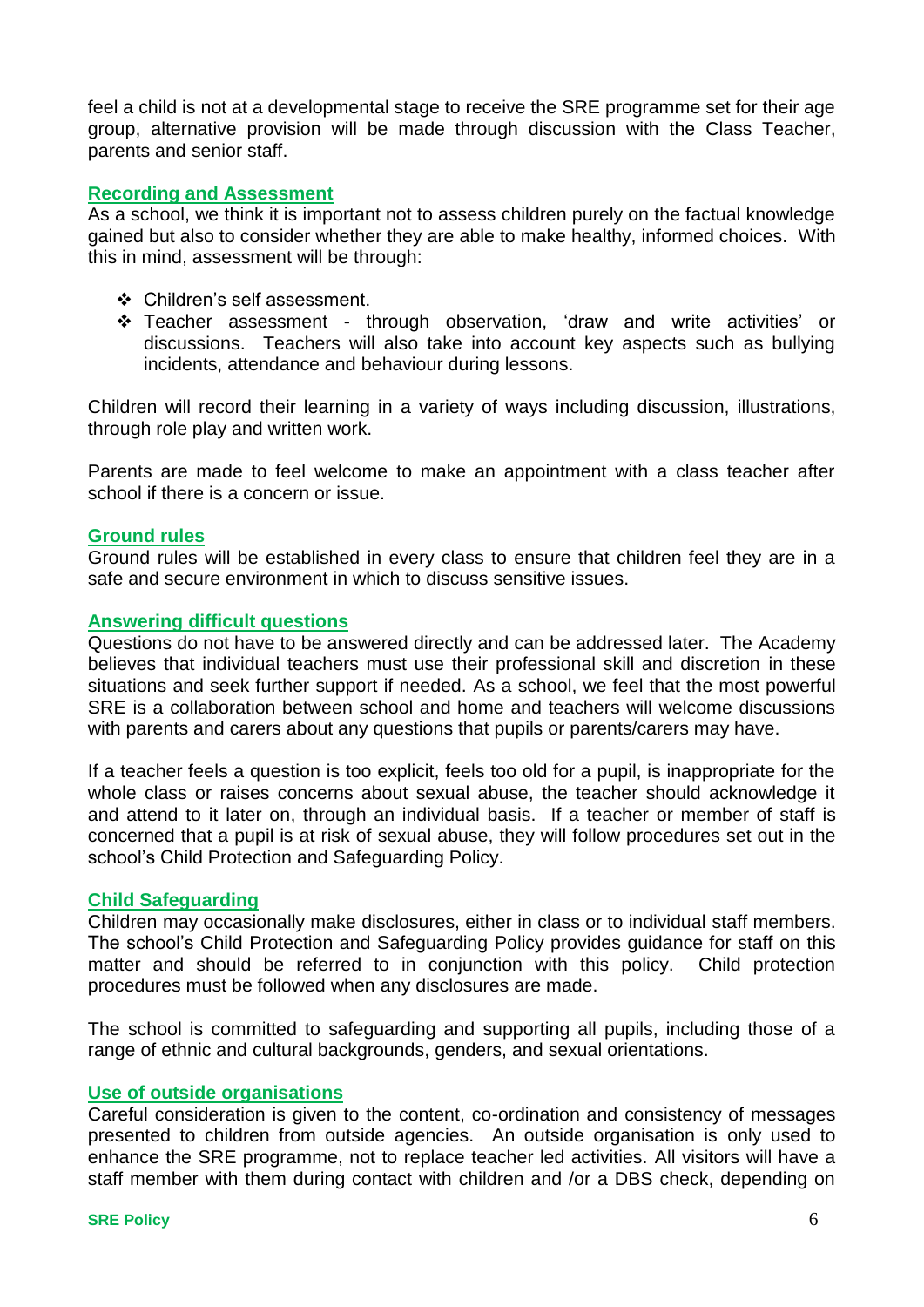feel a child is not at a developmental stage to receive the SRE programme set for their age group, alternative provision will be made through discussion with the Class Teacher, parents and senior staff.

#### **Recording and Assessment**

As a school, we think it is important not to assess children purely on the factual knowledge gained but also to consider whether they are able to make healthy, informed choices. With this in mind, assessment will be through:

- Children's self assessment.
- Teacher assessment through observation, 'draw and write activities' or discussions. Teachers will also take into account key aspects such as bullying incidents, attendance and behaviour during lessons.

Children will record their learning in a variety of ways including discussion, illustrations, through role play and written work.

Parents are made to feel welcome to make an appointment with a class teacher after school if there is a concern or issue.

#### **Ground rules**

Ground rules will be established in every class to ensure that children feel they are in a safe and secure environment in which to discuss sensitive issues.

#### **Answering difficult questions**

Questions do not have to be answered directly and can be addressed later. The Academy believes that individual teachers must use their professional skill and discretion in these situations and seek further support if needed. As a school, we feel that the most powerful SRE is a collaboration between school and home and teachers will welcome discussions with parents and carers about any questions that pupils or parents/carers may have.

If a teacher feels a question is too explicit, feels too old for a pupil, is inappropriate for the whole class or raises concerns about sexual abuse, the teacher should acknowledge it and attend to it later on, through an individual basis. If a teacher or member of staff is concerned that a pupil is at risk of sexual abuse, they will follow procedures set out in the school's Child Protection and Safeguarding Policy.

#### **Child Safeguarding**

Children may occasionally make disclosures, either in class or to individual staff members. The school's Child Protection and Safeguarding Policy provides guidance for staff on this matter and should be referred to in conjunction with this policy. Child protection procedures must be followed when any disclosures are made.

The school is committed to safeguarding and supporting all pupils, including those of a range of ethnic and cultural backgrounds, genders, and sexual orientations.

#### **Use of outside organisations**

Careful consideration is given to the content, co-ordination and consistency of messages presented to children from outside agencies. An outside organisation is only used to enhance the SRE programme, not to replace teacher led activities. All visitors will have a staff member with them during contact with children and /or a DBS check, depending on